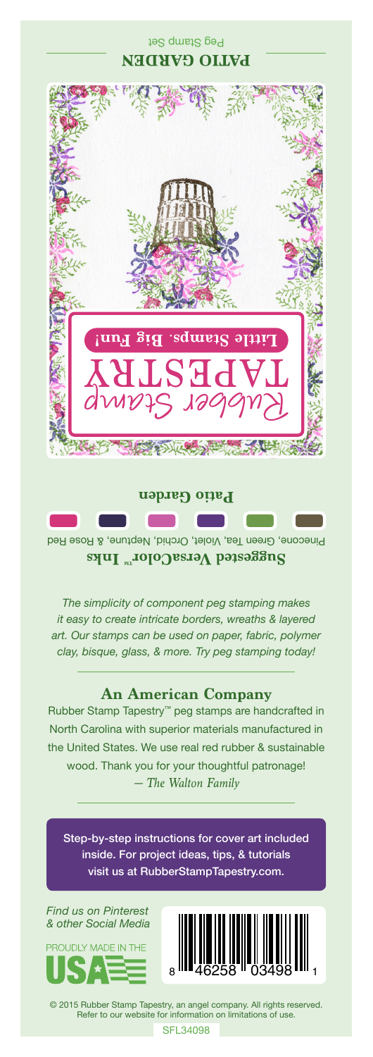## **PATIO GARDEN** និទ្ទេ sqmsid. әтт  $SE$ **Patio Garden**

Peg Stamp Set

Pinecone, Green Tea, Violet, Orchid, Neptune, & Rose Red **Suggested VersaColor** Inks

*The simplicity of component peg stamping makes it easy to create intricate borders, wreaths & layered art. Our stamps can be used on paper, fabric, polymer clay, bisque, glass, & more. Try peg stamping today!*

## **An American Company**

*— The Walton Family* Rubber Stamp Tapestry™ peg stamps are handcrafted in North Carolina with superior materials manufactured in the United States. We use real red rubber & sustainable wood. Thank you for your thoughtful patronage!

Step-by-step instructions for cover art included inside. For project ideas, tips, & tutorials visit us at RubberStampTapestry.com.

*Find us on Pinterest & other Social Media*





© 2015 Rubber Stamp Tapestry, an angel company. All rights reserved. Refer to our website for information on limitations of use.